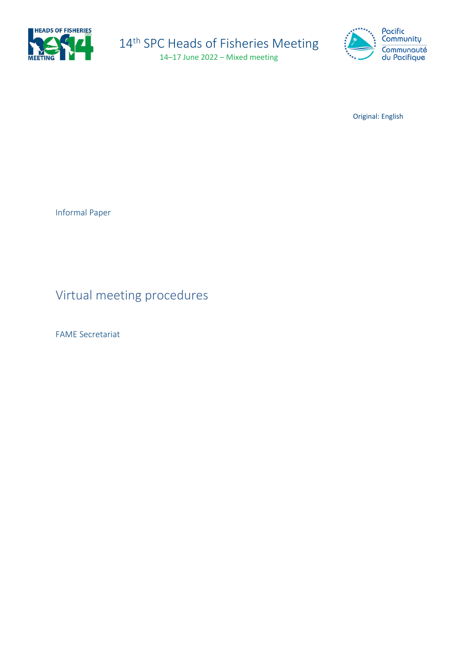

# 14<sup>th</sup> SPC Heads of Fisheries Meeting 14–17 June 2022 – Mixed meeting



Original: English

Informal Paper

Virtual meeting procedures

FAME Secretariat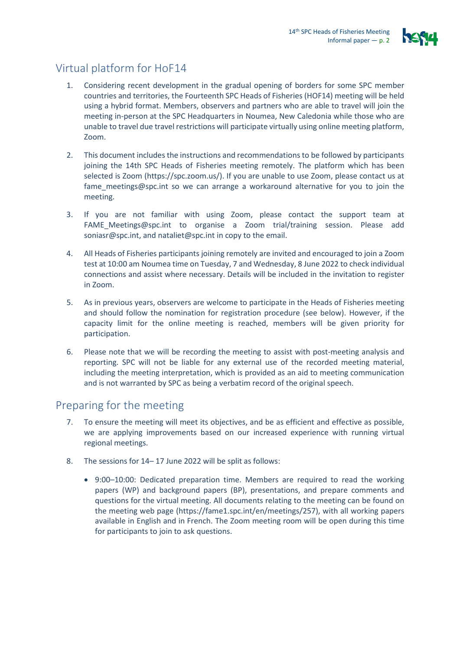

# Virtual platform for HoF14

- 1. Considering recent development in the gradual opening of borders for some SPC member countries and territories, the Fourteenth SPC Heads of Fisheries (HOF14) meeting will be held using a hybrid format. Members, observers and partners who are able to travel will join the meeting in-person at the SPC Headquarters in Noumea, New Caledonia while those who are unable to travel due travel restrictions will participate virtually using online meeting platform, Zoom.
- 2. This document includes the instructions and recommendations to be followed by participants joining the 14th SPC Heads of Fisheries meeting remotely. The platform which has been selected is Zoom [\(https://spc.zoom.us/\)](https://spc.zoom.us/). If you are unable to use Zoom, please contact us at [fame\\_meetings@spc.int](mailto:fame_meetings@spc.int) so we can arrange a workaround alternative for you to join the meeting.
- 3. If you are not familiar with using Zoom, please contact the support team at [FAME\\_Meetings@spc.int](mailto:FAME_Meetings@spc.int) to organise a Zoom trial/training session. Please add [soniasr@spc.int,](mailto:soniasr@spc.int) and [nataliet@spc.int](mailto:nataliet@spc.int) in copy to the email.
- 4. All Heads of Fisheries participants joining remotely are invited and encouraged to join a Zoom test at 10:00 am Noumea time on Tuesday, 7 and Wednesday, 8 June 2022 to check individual connections and assist where necessary. Details will be included in the invitation to register in Zoom.
- 5. As in previous years, observers are welcome to participate in the Heads of Fisheries meeting and should follow the nomination for registration procedure (see below). However, if the capacity limit for the online meeting is reached, members will be given priority for participation.
- 6. Please note that we will be recording the meeting to assist with post-meeting analysis and reporting. SPC will not be liable for any external use of the recorded meeting material, including the meeting interpretation, which is provided as an aid to meeting communication and is not warranted by SPC as being a verbatim record of the original speech.

# Preparing for the meeting

- 7. To ensure the meeting will meet its objectives, and be as efficient and effective as possible, we are applying improvements based on our increased experience with running virtual regional meetings.
- 8. The sessions for 14– 17 June 2022 will be split as follows:
	- 9:00–10:00: Dedicated preparation time. Members are required to read the working papers (WP) and background papers (BP), presentations, and prepare comments and questions for the virtual meeting. All documents relating to the meeting can be found on the meeting web page [\(https://fame1.spc.int/en/meetings/257\)](https://fame1.spc.int/en/meetings/257), with all working papers available in English and in French. The Zoom meeting room will be open during this time for participants to join to ask questions.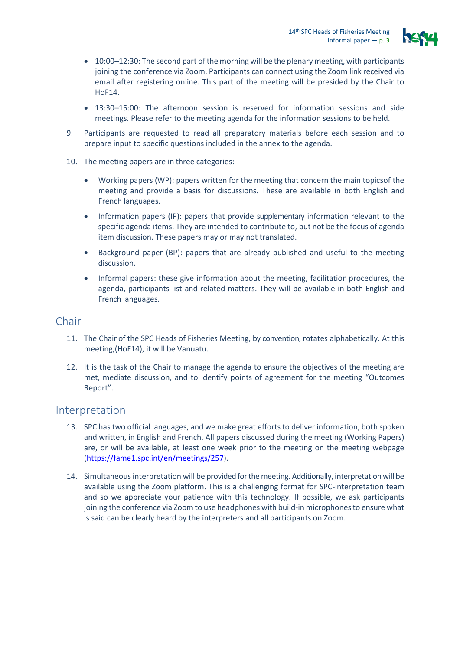

- 10:00–12:30: The second part of the morning will be the plenary meeting, with participants joining the conference via Zoom. Participants can connect using the Zoom link received via email after registering online. This part of the meeting will be presided by the Chair to HoF14.
- 13:30–15:00: The afternoon session is reserved for information sessions and side meetings. Please refer to the meeting agenda for the information sessions to be held.
- 9. Participants are requested to read all preparatory materials before each session and to prepare input to specific questions included in the annex to the agenda.
- 10. The meeting papers are in three categories:
	- Working papers (WP): papers written for the meeting that concern the main topicsof the meeting and provide a basis for discussions. These are available in both English and French languages.
	- Information papers (IP): papers that provide supplementary information relevant to the specific agenda items. They are intended to contribute to, but not be the focus of agenda item discussion. These papers may or may not translated.
	- Background paper (BP): papers that are already published and useful to the meeting discussion.
	- Informal papers: these give information about the meeting, facilitation procedures, the agenda, participants list and related matters. They will be available in both English and French languages.

## Chair

- 11. The Chair of the SPC Heads of Fisheries Meeting, by convention, rotates alphabetically. At this meeting,(HoF14), it will be Vanuatu.
- 12. It is the task of the Chair to manage the agenda to ensure the objectives of the meeting are met, mediate discussion, and to identify points of agreement for the meeting "Outcomes Report".

#### Interpretation

- 13. SPC has two official languages, and we make great efforts to deliver information, both spoken and written, in English and French. All papers discussed during the meeting (Working Papers) are, or will be available, at least one week prior to the meeting on the meeting webpage [\(https://fame1.spc.int/en/meetings/257\)](https://fame1.spc.int/en/meetings/257).
- 14. Simultaneous interpretation will be provided for the meeting. Additionally, interpretation will be available using the Zoom platform. This is a challenging format for SPC-interpretation team and so we appreciate your patience with this technology. If possible, we ask participants joining the conference via Zoom to use headphones with build-in microphones to ensure what is said can be clearly heard by the interpreters and all participants on Zoom.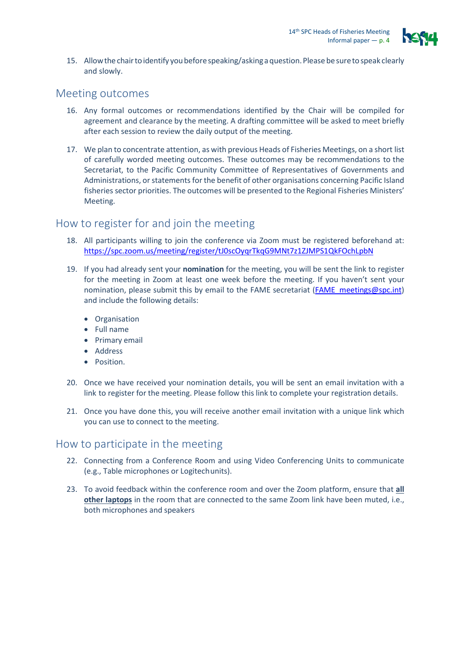

15. Allowthe chairtoidentify youbeforespeaking/askingaquestion.Please be sureto speak clearly and slowly.

#### Meeting outcomes

- 16. Any formal outcomes or recommendations identified by the Chair will be compiled for agreement and clearance by the meeting. A drafting committee will be asked to meet briefly after each session to review the daily output of the meeting.
- 17. We plan to concentrate attention, as with previous Heads of Fisheries Meetings, on a short list of carefully worded meeting outcomes. These outcomes may be recommendations to the Secretariat, to the Pacific Community Committee of Representatives of Governments and Administrations, or statements for the benefit of other organisations concerning Pacific Island fisheries sector priorities. The outcomes will be presented to the Regional Fisheries Ministers' Meeting.

## How to register for and join the meeting

- 18. All participants willing to join the conference via Zoom must be registered beforehand at: <https://spc.zoom.us/meeting/register/tJ0scOyqrTkqG9MNt7z1ZJMPS1QkFOchLpbN>
- 19. If you had already sent your **nomination** for the meeting, you will be sent the link to register for the meeting in Zoom at least one week before the meeting. If you haven't sent your nomination, please submit this by email to the FAME secretariat (FAME meetings@spc.int) and include the following details:
	- Organisation
	- Full name
	- Primary email
	- Address
	- Position.
- 20. Once we have received your nomination details, you will be sent an email invitation with a link to register for the meeting. Please follow this link to complete your registration details.
- 21. Once you have done this, you will receive another email invitation with a unique link which you can use to connect to the meeting.

#### How to participate in the meeting

- 22. Connecting from a Conference Room and using Video Conferencing Units to communicate (e.g., Table microphones or Logitechunits).
- 23. To avoid feedback within the conference room and over the Zoom platform, ensure that **all other laptops** in the room that are connected to the same Zoom link have been muted, i.e., both microphones and speakers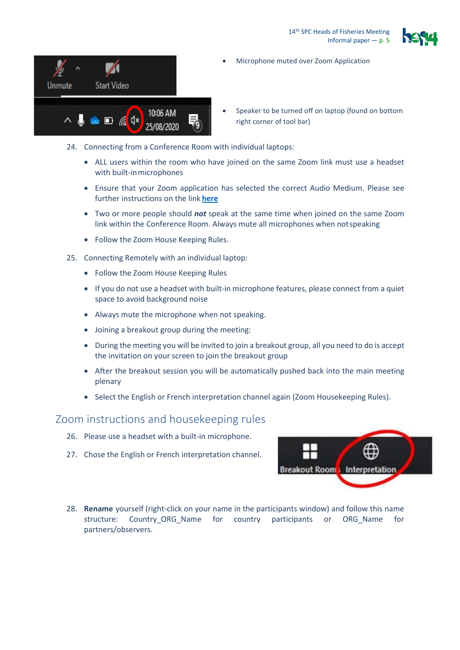14<sup>th</sup> SPC Heads of Fisheries Meeting Informal paper — p. 5



- Unmute **Start Video** 10:06 AM  $\land$   $\qquad \qquad \bullet$   $\Box$   $\mathscr{C}$   $\updownarrow$   $\land$ 25/08/2020
- Microphone muted over Zoom Application
- Speaker to be turned off on laptop (found on bottom right corner of tool bar)
- 24. Connecting from a Conference Room with individual laptops:
	- ALL users within the room who have joined on the same Zoom link must use a headset with built-inmicrophones
	- Ensure that your Zoom application has selected the correct Audio Medium. Please see further instructions on the link **[here](https://support.zoom.us/hc/en-us/articles/201362283-Testing-computer-or-device-audio)**
	- Two or more people should *not* speak at the same time when joined on the same Zoom link within the Conference Room. Always mute all microphones when notspeaking
	- Follow the Zoom House Keeping Rules.
- 25. Connecting Remotely with an individual laptop:
	- Follow the Zoom House Keeping Rules
	- If you do not use a headset with built-in microphone features, please connect from a quiet space to avoid background noise
	- Always mute the microphone when not speaking.
	- Joining a breakout group during the meeting:
	- During the meeting you will be invited to join a breakout group, all you need to do is accept the invitation on your screen to join the breakout group
	- After the breakout session you will be automatically pushed back into the main meeting plenary
	- Select the English or French interpretation channel again (Zoom Housekeeping Rules).

#### Zoom instructions and housekeeping rules

- 26. Please use a headset with a built-in microphone.
- 27. Chose the English or French interpretation channel.



28. **Rename** yourself (right-click on your name in the participants window) and follow this name structure: Country\_ORG\_Name for country participants or ORG\_Name for partners/observers.